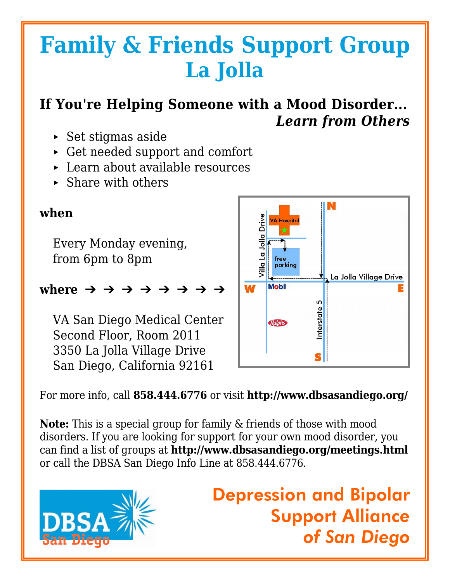# **Family & Friends Support Group La Jolla**

## **If You're Helping Someone with a Mood Disorder...** *Learn from Others*

- $\triangleright$  Set stigmas aside
- < Get needed support and comfort
- < Learn about available resources
- $\triangleright$  Share with others

### **when**

Every Monday evening, from 6pm to 8pm

### where  $\rightarrow$   $\rightarrow$   $\rightarrow$   $\rightarrow$   $\rightarrow$   $\rightarrow$

VA San Diego Medical Center Second Floor, Room 2011 3350 La Jolla Village Drive San Diego, California 92161



For more info, call **858.444.6776** or visit **http://www.dbsasandiego.org/**

**Note:** This is a special group for family & friends of those with mood disorders. If you are looking for support for your own mood disorder, you can find a list of groups at **http://www.dbsasandiego.org/meetings.html** or call the DBSA San Diego Info Line at 858.444.6776.



Depression and Bipolar Support Alliance *of San Diego*